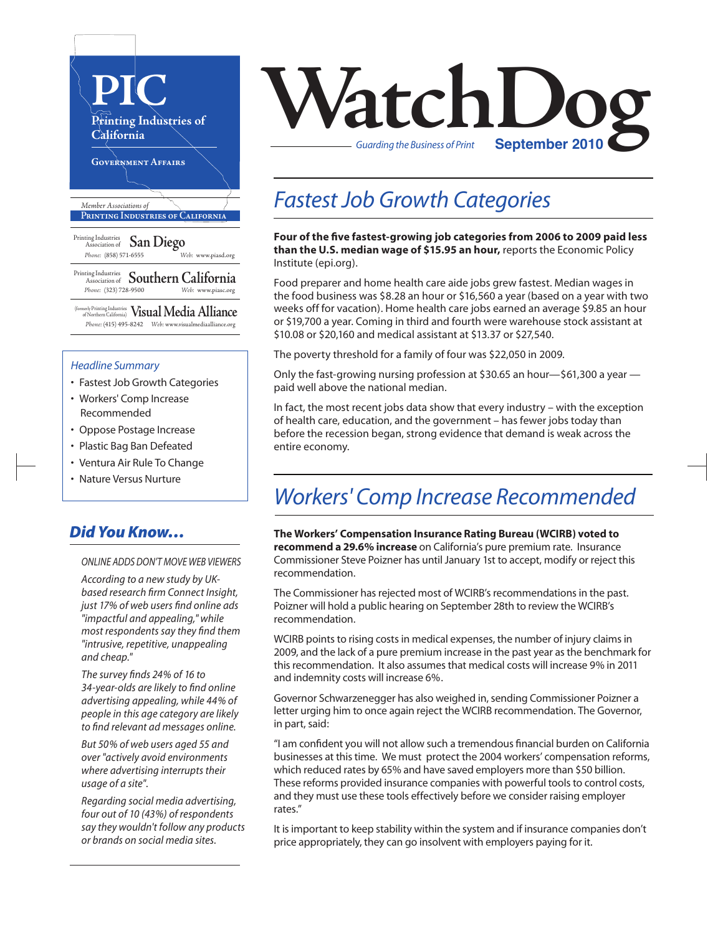

(formerly Printing Industries of Northern California) **VisualMedia Alliance**  *Phone:* (415) 495-8242 *Web:* www.visualmediaalliance.org

#### *Headline Summary*

- Fastest Job Growth Categories
- Workers' Comp Increase Recommended
- Oppose Postage Increase
- Plastic Bag Ban Defeated
- Ventura Air Rule To Change
- Nature Versus Nurture

### *Did You Know…*

*ONLINE ADDS DON'T MOVE WEB VIEWERS* 

*According to a new study by UKbased research firm Connect Insight, just 17% of web users find online ads "impactful and appealing," while most respondents say they find them "intrusive, repetitive, unappealing and cheap."*

*The survey finds 24% of 16 to 34-year-olds are likely to find online advertising appealing, while 44% of people in this age category are likely to find relevant ad messages online.*

*But 50% of web users aged 55 and over "actively avoid environments where advertising interrupts their usage of a site".* 

*Regarding social media advertising, four out of 10 (43%) of respondents say they wouldn't follow any products or brands on social media sites.*



### *Fastest Job Growth Categories*

**Four of the five fastest-growing job categories from 2006 to 2009 paid less than the U.S. median wage of \$15.95 an hour,** reports the Economic Policy Institute (epi.org).

Food preparer and home health care aide jobs grew fastest. Median wages in the food business was \$8.28 an hour or \$16,560 a year (based on a year with two weeks off for vacation). Home health care jobs earned an average \$9.85 an hour or \$19,700 a year. Coming in third and fourth were warehouse stock assistant at \$10.08 or \$20,160 and medical assistant at \$13.37 or \$27,540.

The poverty threshold for a family of four was \$22,050 in 2009.

Only the fast-growing nursing profession at \$30.65 an hour—\$61,300 a year paid well above the national median.

In fact, the most recent jobs data show that every industry – with the exception of health care, education, and the government – has fewer jobs today than before the recession began, strong evidence that demand is weak across the entire economy.

### *Workers' Comp Increase Recommended*

**The Workers' Compensation Insurance Rating Bureau (WCIRB) voted to recommend a 29.6% increase** on California's pure premium rate. Insurance Commissioner Steve Poizner has until January 1st to accept, modify or reject this recommendation.

The Commissioner has rejected most of WCIRB's recommendations in the past. Poizner will hold a public hearing on September 28th to review the WCIRB's recommendation.

WCIRB points to rising costs in medical expenses, the number of injury claims in 2009, and the lack of a pure premium increase in the past year as the benchmark for this recommendation. It also assumes that medical costs will increase 9% in 2011 and indemnity costs will increase 6%.

Governor Schwarzenegger has also weighed in, sending Commissioner Poizner a letter urging him to once again reject the WCIRB recommendation. The Governor, in part, said:

"I am confident you will not allow such a tremendous financial burden on California businesses at this time. We must protect the 2004 workers' compensation reforms, which reduced rates by 65% and have saved employers more than \$50 billion. These reforms provided insurance companies with powerful tools to control costs, and they must use these tools effectively before we consider raising employer rates."

It is important to keep stability within the system and if insurance companies don't price appropriately, they can go insolvent with employers paying for it.